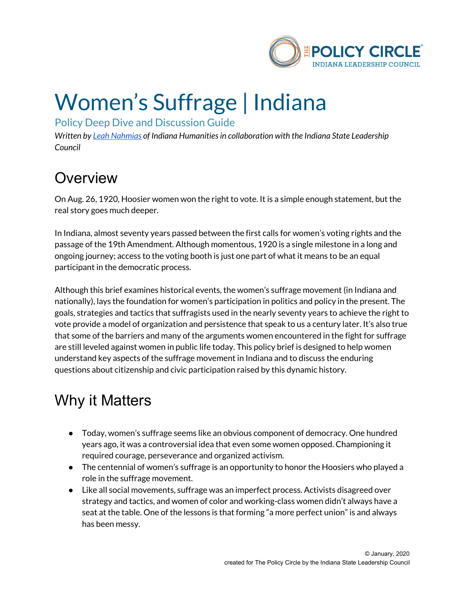

# Women's Suffrage | Indiana

Policy Deep Dive and Discussion Guide

*Written by Leah [Nahmias](https://indianahumanities.org/staff/leah-nahmias) of Indiana Humanitiesin collaboration with the Indiana State Leadership Council*

#### **Overview**

On Aug. 26, 1920, Hoosier women won the right to vote. It is a simple enough statement, but the real story goes much deeper.

In Indiana, almost seventy years passed between the first calls for women's voting rights and the passage of the 19th Amendment. Although momentous, 1920 is a single milestone in a long and ongoing journey; access to the voting booth is just one part of what it means to be an equal participant in the democratic process.

Although this brief examines historical events, the women's suffrage movement (in Indiana and nationally), lays the foundation for women's participation in politics and policy in the present. The goals, strategies and tactics that suffragists used in the nearly seventy years to achieve the right to vote provide a model of organization and persistence that speak to us a century later. It's also true that some of the barriers and many of the arguments women encountered in the fight for suffrage are still leveled against women in public life today. This policy brief is designed to help women understand key aspects of the suffrage movement in Indiana and to discuss the enduring questions about citizenship and civic participation raised by this dynamic history.

#### Why it Matters

- Today, women's suffrage seems like an obvious component of democracy. One hundred years ago, it was a controversial idea that even some women opposed. Championing it required courage, perseverance and organized activism.
- The centennial of women's suffrage is an opportunity to honor the Hoosiers who played a role in the suffrage movement.
- Like all social movements, suffrage was an imperfect process. Activists disagreed over strategy and tactics, and women of color and working-class women didn't always have a seat at the table. One of the lessons is that forming "a more perfect union" is and always has been messy.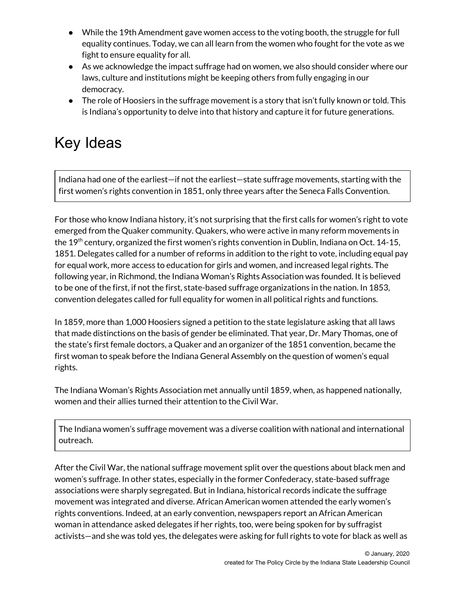- While the 19th Amendment gave women access to the voting booth, the struggle for full equality continues. Today, we can all learn from the women who fought for the vote as we fight to ensure equality for all.
- As we acknowledge the impact suffrage had on women, we also should consider where our laws, culture and institutions might be keeping others from fully engaging in our democracy.
- The role of Hoosiers in the suffrage movement is a story that isn't fully known or told. This is Indiana's opportunity to delve into that history and capture it for future generations.

### Key Ideas

Indiana had one of the earliest—if not the earliest—state suffrage movements, starting with the first women's rights convention in 1851, only three years after the Seneca Falls Convention.

For those who know Indiana history, it's not surprising that the first calls for women's right to vote emerged from the Quaker community. Quakers, who were active in many reform movements in the 19<sup>th</sup> century, organized the first women's rights convention in Dublin, Indiana on Oct. 14-15, 1851. Delegates called for a number of reforms in addition to the right to vote, including equal pay for equal work, more access to education for girls and women, and increased legal rights. The following year, in Richmond, the Indiana Woman's Rights Association was founded. It is believed to be one of the first, if not the first, state-based suffrage organizations in the nation. In 1853, convention delegates called for full equality for women in all political rights and functions.

In 1859, more than 1,000 Hoosiers signed a petition to the state legislature asking that all laws that made distinctions on the basis of gender be eliminated. That year, Dr. Mary Thomas, one of the state's first female doctors, a Quaker and an organizer of the 1851 convention, became the first woman to speak before the Indiana General Assembly on the question of women's equal rights.

The Indiana Woman's Rights Association met annually until 1859, when, as happened nationally, women and their allies turned their attention to the Civil War.

The Indiana women's suffrage movement was a diverse coalition with national and international outreach.

After the Civil War, the national suffrage movement split over the questions about black men and women's suffrage. In other states, especially in the former Confederacy, state-based suffrage associations were sharply segregated. But in Indiana, historical records indicate the suffrage movement was integrated and diverse. African American women attended the early women's rights conventions. Indeed, at an early convention, newspapers report an African American woman in attendance asked delegates if her rights, too, were being spoken for by suffragist activists—and she was told yes, the delegates were asking for full rights to vote for black as well as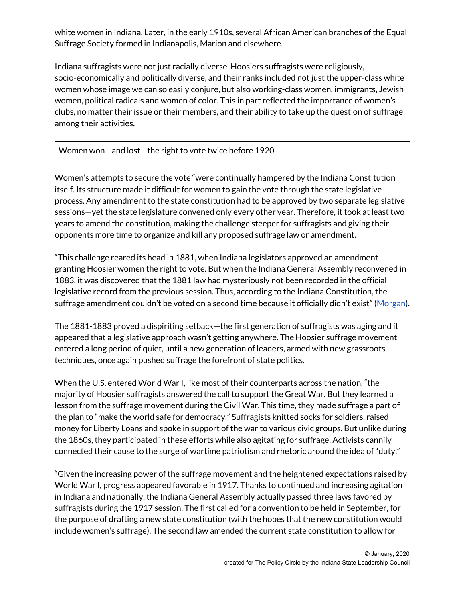white women in Indiana. Later, in the early 1910s, several African American branches of the Equal Suffrage Society formed in Indianapolis, Marion and elsewhere.

Indiana suffragists were not just racially diverse. Hoosiers suffragists were religiously, socio-economically and politically diverse, and their ranks included not just the upper-class white women whose image we can so easily conjure, but also working-class women, immigrants, Jewish women, political radicals and women of color. This in part reflected the importance of women's clubs, no matter their issue or their members, and their ability to take up the question of suffrage among their activities.

Women won—and lost—the right to vote twice before 1920.

Women's attempts to secure the vote "were continually hampered by the Indiana Constitution itself. Its structure made it difficult for women to gain the vote through the state legislative process. Any amendment to the state constitution had to be approved by two separate legislative sessions—yet the state legislature convened only every other year. Therefore, it took at least two years to amend the constitution, making the challenge steeper for suffragists and giving their opponents more time to organize and kill any proposed suffrage law or amendment.

"This challenge reared its head in 1881, when Indiana legislators approved an amendment granting Hoosier women the right to vote. But when the Indiana General Assembly reconvened in 1883, it was discovered that the 1881 law had mysteriously not been recorded in the official legislative record from the previous session. Thus, according to the Indiana Constitution, the suffrage amendment couldn't be voted on a second time because it officially didn't exist" [\(Morgan](http://indianasuffrage100.org/indiana-womens-suffrage-history/)).

The 1881-1883 proved a dispiriting setback—the first generation of suffragists was aging and it appeared that a legislative approach wasn't getting anywhere. The Hoosier suffrage movement entered a long period of quiet, until a new generation of leaders, armed with new grassroots techniques, once again pushed suffrage the forefront of state politics.

When the U.S. entered World War I, like most of their counterparts across the nation, "the majority of Hoosier suffragists answered the call to support the Great War. But they learned a lesson from the suffrage movement during the Civil War. This time, they made suffrage a part of the plan to "make the world safe for democracy." Suffragists knitted socks for soldiers, raised money for Liberty Loans and spoke in support of the war to various civic groups. But unlike during the 1860s, they participated in these efforts while also agitating for suffrage. Activists cannily connected their cause to the surge of wartime patriotism and rhetoric around the idea of "duty."

"Given the increasing power of the suffrage movement and the heightened expectations raised by World War I, progress appeared favorable in 1917. Thanks to continued and increasing agitation in Indiana and nationally, the Indiana General Assembly actually passed three laws favored by suffragists during the 1917 session. The first called for a convention to be held in September, for the purpose of drafting a new state constitution (with the hopes that the new constitution would include women's suffrage). The second law amended the current state constitution to allow for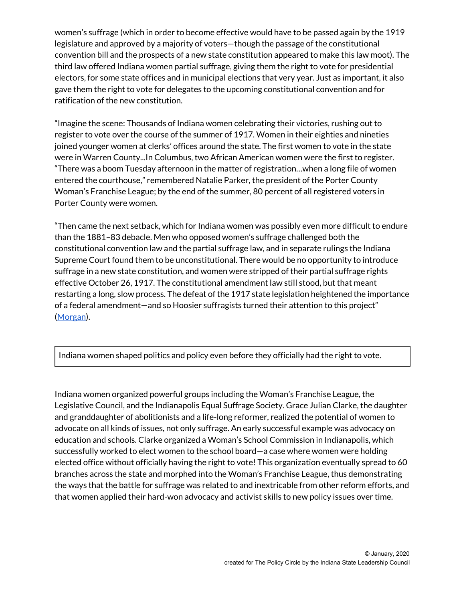women's suffrage (which in order to become effective would have to be passed again by the 1919 legislature and approved by a majority of voters—though the passage of the constitutional convention bill and the prospects of a new state constitution appeared to make this law moot). The third law offered Indiana women partial suffrage, giving them the right to vote for presidential electors, for some state offices and in municipal elections that very year. Just as important, it also gave them the right to vote for delegates to the upcoming constitutional convention and for ratification of the new constitution.

"Imagine the scene: Thousands of Indiana women celebrating their victories, rushing out to register to vote over the course of the summer of 1917. Women in their eighties and nineties joined younger women at clerks' offices around the state. The first women to vote in the state were in Warren County...In Columbus, two African American women were the first to register. "There was a boom Tuesday afternoon in the matter of registration…when a long file of women entered the courthouse," remembered Natalie Parker, the president of the Porter County Woman's Franchise League; by the end of the summer, 80 percent of all registered voters in Porter County were women.

"Then came the next setback, which for Indiana women was possibly even more difficult to endure than the 1881–83 debacle. Men who opposed women's suffrage challenged both the constitutional convention law and the partial suffrage law, and in separate rulings the Indiana Supreme Court found them to be unconstitutional. There would be no opportunity to introduce suffrage in a new state constitution, and women were stripped of their partial suffrage rights effective October 26, 1917. The constitutional amendment law still stood, but that meant restarting a long, slow process. The defeat of the 1917 state legislation heightened the importance of a federal amendment—and so Hoosier suffragists turned their attention to this project" [\(Morgan](http://indianasuffrage100.org/indiana-womens-suffrage-history/)).

Indiana women shaped politics and policy even before they officially had the right to vote.

Indiana women organized powerful groups including the Woman's Franchise League, the Legislative Council, and the Indianapolis Equal Suffrage Society. Grace Julian Clarke, the daughter and granddaughter of abolitionists and a life-long reformer, realized the potential of women to advocate on all kinds of issues, not only suffrage. An early successful example was advocacy on education and schools. Clarke organized a Woman's School Commission in Indianapolis, which successfully worked to elect women to the school board—a case where women were holding elected office without officially having the right to vote! This organization eventually spread to 60 branches across the state and morphed into the Woman's Franchise League, thus demonstrating the ways that the battle for suffrage was related to and inextricable from other reform efforts, and that women applied their hard-won advocacy and activist skills to new policy issues over time.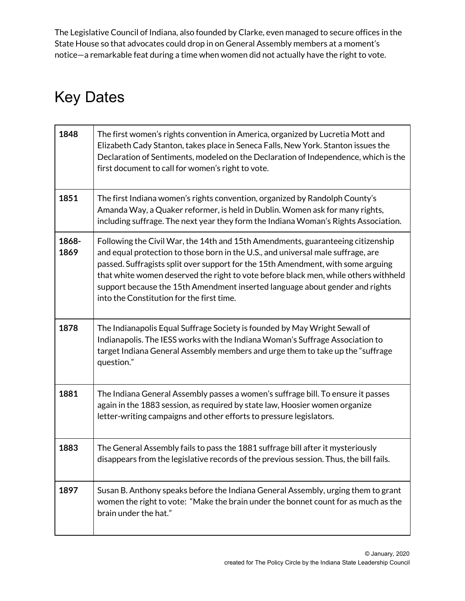The Legislative Council of Indiana, also founded by Clarke, even managed to secure offices in the State House so that advocates could drop in on General Assembly members at a moment's notice—a remarkable feat during a time when women did not actually have the right to vote.

### Key Dates

| 1848          | The first women's rights convention in America, organized by Lucretia Mott and<br>Elizabeth Cady Stanton, takes place in Seneca Falls, New York. Stanton issues the<br>Declaration of Sentiments, modeled on the Declaration of Independence, which is the<br>first document to call for women's right to vote.                                                                                                                                                             |
|---------------|-----------------------------------------------------------------------------------------------------------------------------------------------------------------------------------------------------------------------------------------------------------------------------------------------------------------------------------------------------------------------------------------------------------------------------------------------------------------------------|
| 1851          | The first Indiana women's rights convention, organized by Randolph County's<br>Amanda Way, a Quaker reformer, is held in Dublin. Women ask for many rights,<br>including suffrage. The next year they form the Indiana Woman's Rights Association.                                                                                                                                                                                                                          |
| 1868-<br>1869 | Following the Civil War, the 14th and 15th Amendments, guaranteeing citizenship<br>and equal protection to those born in the U.S., and universal male suffrage, are<br>passed. Suffragists split over support for the 15th Amendment, with some arguing<br>that white women deserved the right to vote before black men, while others withheld<br>support because the 15th Amendment inserted language about gender and rights<br>into the Constitution for the first time. |
| 1878          | The Indianapolis Equal Suffrage Society is founded by May Wright Sewall of<br>Indianapolis. The IESS works with the Indiana Woman's Suffrage Association to<br>target Indiana General Assembly members and urge them to take up the "suffrage<br>question."                                                                                                                                                                                                                 |
| 1881          | The Indiana General Assembly passes a women's suffrage bill. To ensure it passes<br>again in the 1883 session, as required by state law, Hoosier women organize<br>letter-writing campaigns and other efforts to pressure legislators.                                                                                                                                                                                                                                      |
| 1883          | The General Assembly fails to pass the 1881 suffrage bill after it mysteriously<br>disappears from the legislative records of the previous session. Thus, the bill fails.                                                                                                                                                                                                                                                                                                   |
| 1897          | Susan B. Anthony speaks before the Indiana General Assembly, urging them to grant<br>women the right to vote: "Make the brain under the bonnet count for as much as the<br>brain under the hat."                                                                                                                                                                                                                                                                            |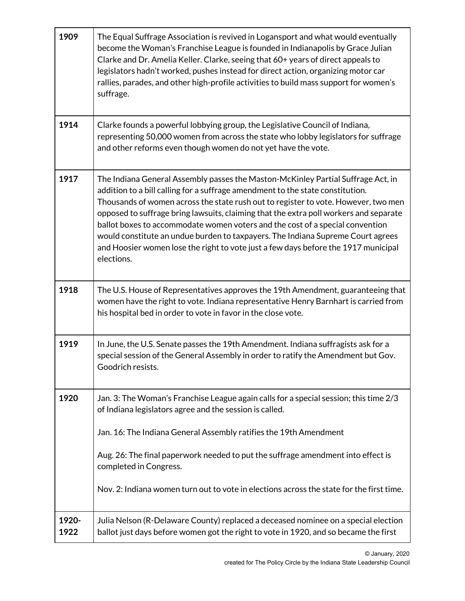| 1909          | The Equal Suffrage Association is revived in Logansport and what would eventually<br>become the Woman's Franchise League is founded in Indianapolis by Grace Julian<br>Clarke and Dr. Amelia Keller. Clarke, seeing that 60+ years of direct appeals to<br>legislators hadn't worked, pushes instead for direct action, organizing motor car<br>rallies, parades, and other high-profile activities to build mass support for women's<br>suffrage.                                                                                                                                                                        |
|---------------|---------------------------------------------------------------------------------------------------------------------------------------------------------------------------------------------------------------------------------------------------------------------------------------------------------------------------------------------------------------------------------------------------------------------------------------------------------------------------------------------------------------------------------------------------------------------------------------------------------------------------|
| 1914          | Clarke founds a powerful lobbying group, the Legislative Council of Indiana,<br>representing 50,000 women from across the state who lobby legislators for suffrage<br>and other reforms even though women do not yet have the vote.                                                                                                                                                                                                                                                                                                                                                                                       |
| 1917          | The Indiana General Assembly passes the Maston-McKinley Partial Suffrage Act, in<br>addition to a bill calling for a suffrage amendment to the state constitution.<br>Thousands of women across the state rush out to register to vote. However, two men<br>opposed to suffrage bring lawsuits, claiming that the extra poll workers and separate<br>ballot boxes to accommodate women voters and the cost of a special convention<br>would constitute an undue burden to taxpayers. The Indiana Supreme Court agrees<br>and Hoosier women lose the right to vote just a few days before the 1917 municipal<br>elections. |
| 1918          | The U.S. House of Representatives approves the 19th Amendment, guaranteeing that<br>women have the right to vote. Indiana representative Henry Barnhart is carried from<br>his hospital bed in order to vote in favor in the close vote.                                                                                                                                                                                                                                                                                                                                                                                  |
| 1919          | In June, the U.S. Senate passes the 19th Amendment. Indiana suffragists ask for a<br>special session of the General Assembly in order to ratify the Amendment but Gov.<br>Goodrich resists.                                                                                                                                                                                                                                                                                                                                                                                                                               |
| 1920          | Jan. 3: The Woman's Franchise League again calls for a special session; this time 2/3<br>of Indiana legislators agree and the session is called.<br>Jan. 16: The Indiana General Assembly ratifies the 19th Amendment<br>Aug. 26: The final paperwork needed to put the suffrage amendment into effect is                                                                                                                                                                                                                                                                                                                 |
|               | completed in Congress.<br>Nov. 2: Indiana women turn out to vote in elections across the state for the first time.                                                                                                                                                                                                                                                                                                                                                                                                                                                                                                        |
| 1920-<br>1922 | Julia Nelson (R-Delaware County) replaced a deceased nominee on a special election<br>ballot just days before women got the right to vote in 1920, and so became the first                                                                                                                                                                                                                                                                                                                                                                                                                                                |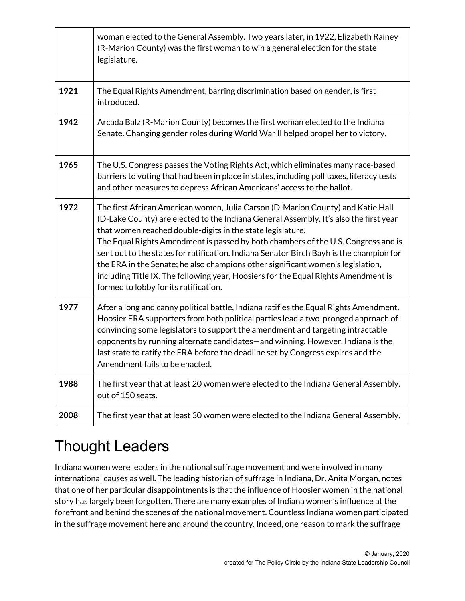|      | woman elected to the General Assembly. Two years later, in 1922, Elizabeth Rainey<br>(R-Marion County) was the first woman to win a general election for the state<br>legislature.                                                                                                                                                                                                                                                                                                                                                                                                                                                       |
|------|------------------------------------------------------------------------------------------------------------------------------------------------------------------------------------------------------------------------------------------------------------------------------------------------------------------------------------------------------------------------------------------------------------------------------------------------------------------------------------------------------------------------------------------------------------------------------------------------------------------------------------------|
| 1921 | The Equal Rights Amendment, barring discrimination based on gender, is first<br>introduced.                                                                                                                                                                                                                                                                                                                                                                                                                                                                                                                                              |
| 1942 | Arcada Balz (R-Marion County) becomes the first woman elected to the Indiana<br>Senate. Changing gender roles during World War II helped propel her to victory.                                                                                                                                                                                                                                                                                                                                                                                                                                                                          |
| 1965 | The U.S. Congress passes the Voting Rights Act, which eliminates many race-based<br>barriers to voting that had been in place in states, including poll taxes, literacy tests<br>and other measures to depress African Americans' access to the ballot.                                                                                                                                                                                                                                                                                                                                                                                  |
| 1972 | The first African American women, Julia Carson (D-Marion County) and Katie Hall<br>(D-Lake County) are elected to the Indiana General Assembly. It's also the first year<br>that women reached double-digits in the state legislature.<br>The Equal Rights Amendment is passed by both chambers of the U.S. Congress and is<br>sent out to the states for ratification. Indiana Senator Birch Bayh is the champion for<br>the ERA in the Senate; he also champions other significant women's legislation,<br>including Title IX. The following year, Hoosiers for the Equal Rights Amendment is<br>formed to lobby for its ratification. |
| 1977 | After a long and canny political battle, Indiana ratifies the Equal Rights Amendment.<br>Hoosier ERA supporters from both political parties lead a two-pronged approach of<br>convincing some legislators to support the amendment and targeting intractable<br>opponents by running alternate candidates-and winning. However, Indiana is the<br>last state to ratify the ERA before the deadline set by Congress expires and the<br>Amendment fails to be enacted.                                                                                                                                                                     |
| 1988 | The first year that at least 20 women were elected to the Indiana General Assembly,<br>out of 150 seats.                                                                                                                                                                                                                                                                                                                                                                                                                                                                                                                                 |
| 2008 | The first year that at least 30 women were elected to the Indiana General Assembly.                                                                                                                                                                                                                                                                                                                                                                                                                                                                                                                                                      |

# Thought Leaders

Indiana women were leaders in the national suffrage movement and were involved in many international causes as well. The leading historian of suffrage in Indiana, Dr. Anita Morgan, notes that one of her particular disappointments is that the influence of Hoosier women in the national story has largely been forgotten. There are many examples of Indiana women's influence at the forefront and behind the scenes of the national movement. Countless Indiana women participated in the suffrage movement here and around the country. Indeed, one reason to mark the suffrage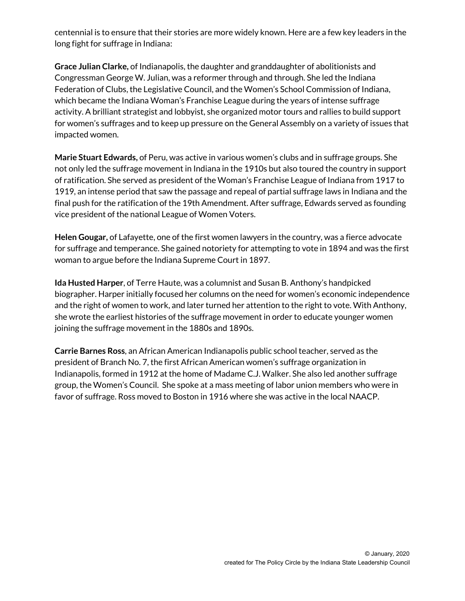centennial is to ensure that their stories are more widely known. Here are a few key leaders in the long fight for suffrage in Indiana:

**Grace Julian Clarke,** of Indianapolis, the daughter and granddaughter of abolitionists and Congressman George W. Julian, was a reformer through and through. She led the Indiana Federation of Clubs, the Legislative Council, and the Women's School Commission of Indiana, which became the Indiana Woman's Franchise League during the years of intense suffrage activity. A brilliant strategist and lobbyist, she organized motor tours and rallies to build support for women's suffrages and to keep up pressure on the General Assembly on a variety of issues that impacted women.

**Marie Stuart Edwards,** of Peru, was active in various women's clubs and in suffrage groups. She not only led the suffrage movement in Indiana in the 1910s but also toured the country in support of ratification. She served as president of the Woman's Franchise League of Indiana from 1917 to 1919, an intense period that saw the passage and repeal of partial suffrage laws in Indiana and the final push for the ratification of the 19th Amendment. After suffrage, Edwards served as founding vice president of the national League of Women Voters.

**Helen Gougar,** of Lafayette, one of the first women lawyers in the country, was a fierce advocate for suffrage and temperance. She gained notoriety for attempting to vote in 1894 and was the first woman to argue before the Indiana Supreme Court in 1897.

**Ida Husted Harper**, of Terre Haute, was a columnist and Susan B. Anthony's handpicked biographer. Harper initially focused her columns on the need for women's economic independence and the right of women to work, and later turned her attention to the right to vote. With Anthony, she wrote the earliest histories of the suffrage movement in order to educate younger women joining the suffrage movement in the 1880s and 1890s.

**Carrie Barnes Ross**, an African American Indianapolis public school teacher, served as the president of Branch No. 7, the first African American women's suffrage organization in Indianapolis, formed in 1912 at the home of Madame C.J. Walker. She also led another suffrage group, the Women's Council. She spoke at a mass meeting of labor union members who were in favor of suffrage. Ross moved to Boston in 1916 where she was active in the local NAACP.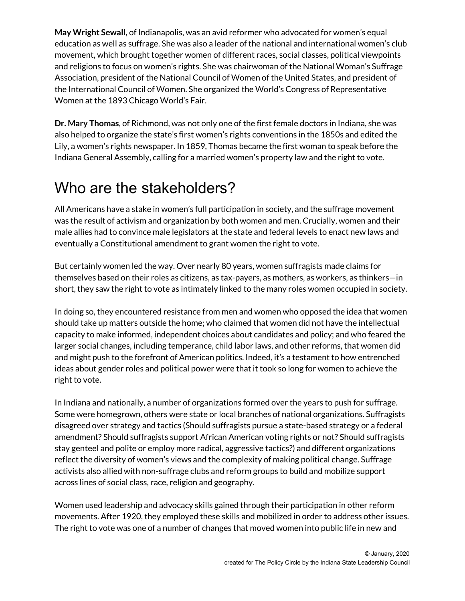**May Wright Sewall,** of Indianapolis, was an avid reformer who advocated for women's equal education as well as suffrage. She was also a leader of the national and international women's club movement, which brought together women of different races, social classes, political viewpoints and religions to focus on women's rights. She was chairwoman of the National Woman's Suffrage Association, president of the National Council of Women of the United States, and president of the International Council of Women. She organized the World's Congress of Representative Women at the 1893 Chicago World's Fair.

**Dr. Mary Thomas**, of Richmond, was not only one of the first female doctors in Indiana, she was also helped to organize the state's first women's rights conventions in the 1850s and edited the Lily, a women's rights newspaper. In 1859, Thomas became the first woman to speak before the Indiana General Assembly, calling for a married women's property law and the right to vote.

### Who are the stakeholders?

All Americans have a stake in women's full participation in society, and the suffrage movement was the result of activism and organization by both women and men. Crucially, women and their male allies had to convince male legislators at the state and federal levels to enact new laws and eventually a Constitutional amendment to grant women the right to vote.

But certainly women led the way. Over nearly 80 years, women suffragists made claims for themselves based on their roles as citizens, as tax-payers, as mothers, as workers, as thinkers—in short, they saw the right to vote as intimately linked to the many roles women occupied in society.

In doing so, they encountered resistance from men and women who opposed the idea that women should take up matters outside the home; who claimed that women did not have the intellectual capacity to make informed, independent choices about candidates and policy; and who feared the larger social changes, including temperance, child labor laws, and other reforms, that women did and might push to the forefront of American politics. Indeed, it's a testament to how entrenched ideas about gender roles and political power were that it took so long for women to achieve the right to vote.

In Indiana and nationally, a number of organizations formed over the years to push for suffrage. Some were homegrown, others were state or local branches of national organizations. Suffragists disagreed over strategy and tactics (Should suffragists pursue a state-based strategy or a federal amendment? Should suffragists support African American voting rights or not? Should suffragists stay genteel and polite or employ more radical, aggressive tactics?) and different organizations reflect the diversity of women's views and the complexity of making political change. Suffrage activists also allied with non-suffrage clubs and reform groups to build and mobilize support across lines of social class, race, religion and geography.

Women used leadership and advocacy skills gained through their participation in other reform movements. After 1920, they employed these skills and mobilized in order to address other issues. The right to vote was one of a number of changes that moved women into public life in new and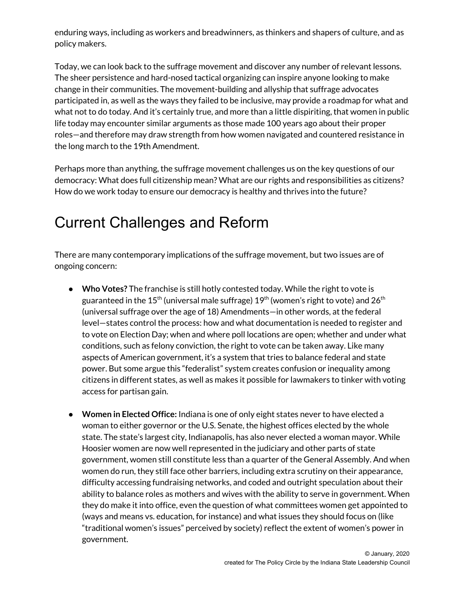enduring ways, including as workers and breadwinners, as thinkers and shapers of culture, and as policy makers.

Today, we can look back to the suffrage movement and discover any number of relevant lessons. The sheer persistence and hard-nosed tactical organizing can inspire anyone looking to make change in their communities. The movement-building and allyship that suffrage advocates participated in, as well as the ways they failed to be inclusive, may provide a roadmap for what and what not to do today. And it's certainly true, and more than a little dispiriting, that women in public life today may encounter similar arguments as those made 100 years ago about their proper roles—and therefore may draw strength from how women navigated and countered resistance in the long march to the 19th Amendment.

Perhaps more than anything, the suffrage movement challenges us on the key questions of our democracy: What does full citizenship mean? What are our rights and responsibilities as citizens? How do we work today to ensure our democracy is healthy and thrives into the future?

### Current Challenges and Reform

There are many contemporary implications of the suffrage movement, but two issues are of ongoing concern:

- **Who Votes?** The franchise is still hotly contested today. While the right to vote is guaranteed in the 15<sup>th</sup> (universal male suffrage) 19<sup>th</sup> (women's right to vote) and 26<sup>th</sup> (universal suffrage over the age of 18) Amendments—in other words, at the federal level—states control the process: how and what documentation is needed to register and to vote on Election Day; when and where poll locations are open; whether and under what conditions, such as felony conviction, the right to vote can be taken away. Like many aspects of American government, it's a system that tries to balance federal and state power. But some argue this "federalist" system creates confusion or inequality among citizens in different states, as well as makes it possible for lawmakers to tinker with voting access for partisan gain.
- **Women in Elected Office:** Indiana is one of only eight states never to have elected a woman to either governor or the U.S. Senate, the highest offices elected by the whole state. The state's largest city, Indianapolis, has also never elected a woman mayor. While Hoosier women are now well represented in the judiciary and other parts of state government, women still constitute less than a quarter of the General Assembly. And when women do run, they still face other barriers, including extra scrutiny on their appearance, difficulty accessing fundraising networks, and coded and outright speculation about their ability to balance roles as mothers and wives with the ability to serve in government. When they do make it into office, even the question of what committees women get appointed to (ways and means vs. education, for instance) and what issues they should focus on (like "traditional women's issues" perceived by society) reflect the extent of women's power in government.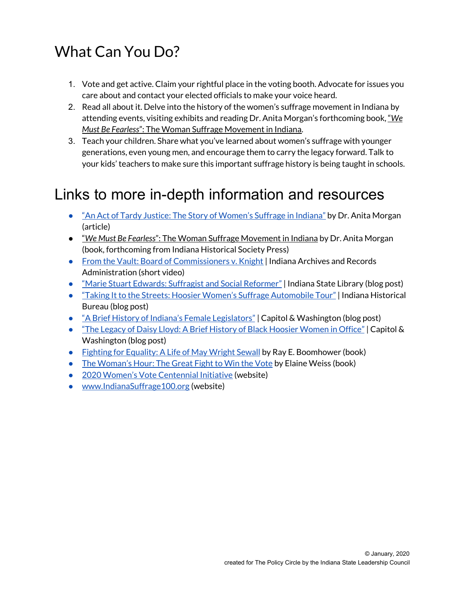# What Can You Do?

- 1. Vote and get active. Claim your rightful place in the voting booth. Advocate for issues you care about and contact your elected officials to make your voice heard.
- 2. Read all about it. Delve into the history of the women's suffrage movement in Indiana by attending events, visiting exhibits and reading Dr. Anita Morgan's forthcoming book, "*We Must Be Fearless*": The Woman Suffrage Movement in Indiana.
- 3. Teach your children. Share what you've learned about women's suffrage with younger generations, even young men, and encourage them to carry the legacy forward. Talk to your kids' teachers to make sure this important suffrage history is being taught in schools.

#### Links to more in-depth information and resources

- "An Act of Tardy Justice: The Story of [Women's](http://indianasuffrage100.org/indiana-womens-suffrage-history/) Suffrage in Indiana" by Dr. Anita Morgan (article)
- "*We Must Be Fearless*": The Woman Suffrage Movement in Indiana by Dr. Anita Morgan (book, forthcoming from Indiana Historical Society Press)
- From the Vault: Board of [Commissioners](https://www.youtube.com/watch?v=zwrf9xuZsLk) v. Knight | Indiana Archives and Records Administration (short video)
- "Marie Stuart Edwards: Suffragist and Social [Reformer"](https://blog.library.in.gov/marie-stuart-edwards-suffragist-and-social-reformer/) | Indiana State Library (blog post)
- "Taking It to the Streets: Hoosier Women's Suffrage [Automobile](https://blog.history.in.gov/taking-it-to-the-streets-hoosier-womens-suffrage-automobile-tour/) Tour" | Indiana Historical Bureau (blog post)
- "A Brief History of Indiana's Female [Legislators"](https://www.capitolandwashington.com/blog/2018/11/14/a-brief-history-of-indianas-female-legislators/) | Capitol & Washington (blog post)
- "The Legacy of Daisy Lloyd: A Brief History of Black [Hoosier](https://www.capitolandwashington.com/blog/2019/06/17/the-legacy-of-daisy-lloyd-a-brief-history-of-black-hoosier-women-in-office/) Women in Office" | Capitol & Washington (blog post)
- Fighting for [Equality:](https://www.amazon.com/Fighting-Equality-Life-Wright-Sewall/dp/087195253X) A Life of May Wright Sewall by Ray E. Boomhower (book)
- The [Woman's](https://www.amazon.com/Womans-Hour-Great-Fight-Vote/dp/014312899X/ref=sr_1_1?crid=XO43LS8VLJTP&keywords=the+woman%2527s+hour+elaine+weiss&qid=1576527868&s=books&sprefix=the+woman%2527s+hour%252Cstripbooks%252C148&sr=1-1) Hour: The Great Fight to Win the Vote by Elaine Weiss (book)
- 2020 Women's Vote [Centennial](https://www.2020centennial.org/) Initiative (website)
- [www.IndianaSuffrage100.org](http://www.indianasuffrage100.org/) (website)